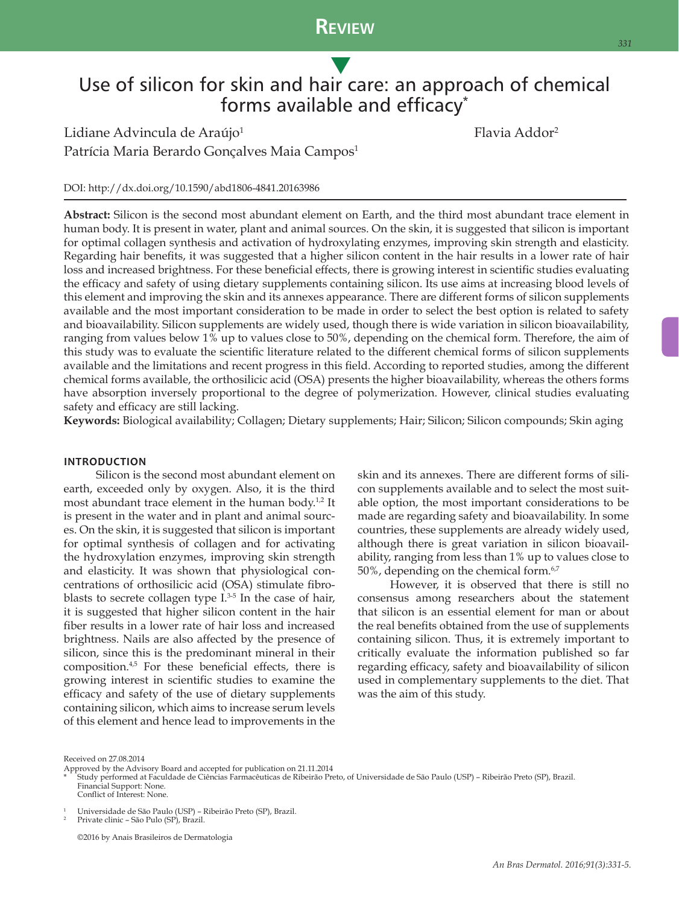# **Review**

# Use of silicon for skin and hair care: an approach of chemical forms available and efficacy**\*** s

Lidiane Advincula de Araújo<sup>1</sup> Flavia Addor<sup>2</sup> Flavia Addor<sup>2</sup> Patrícia Maria Berardo Gonçalves Maia Campos<sup>1</sup>

DOI: http://dx.doi.org/10.1590/abd1806-4841.20163986

**Abstract:** Silicon is the second most abundant element on Earth, and the third most abundant trace element in human body. It is present in water, plant and animal sources. On the skin, it is suggested that silicon is important for optimal collagen synthesis and activation of hydroxylating enzymes, improving skin strength and elasticity. Regarding hair benefits, it was suggested that a higher silicon content in the hair results in a lower rate of hair loss and increased brightness. For these beneficial effects, there is growing interest in scientific studies evaluating the efficacy and safety of using dietary supplements containing silicon. Its use aims at increasing blood levels of this element and improving the skin and its annexes appearance. There are different forms of silicon supplements available and the most important consideration to be made in order to select the best option is related to safety and bioavailability. Silicon supplements are widely used, though there is wide variation in silicon bioavailability, ranging from values below 1% up to values close to 50%, depending on the chemical form. Therefore, the aim of this study was to evaluate the scientific literature related to the different chemical forms of silicon supplements available and the limitations and recent progress in this field. According to reported studies, among the different chemical forms available, the orthosilicic acid (OSA) presents the higher bioavailability, whereas the others forms have absorption inversely proportional to the degree of polymerization. However, clinical studies evaluating safety and efficacy are still lacking.

**Keywords:** Biological availability; Collagen; Dietary supplements; Hair; Silicon; Silicon compounds; Skin aging

#### **INTRODUCTION**

Silicon is the second most abundant element on earth, exceeded only by oxygen. Also, it is the third most abundant trace element in the human body.<sup>1,2</sup> It is present in the water and in plant and animal sources. On the skin, it is suggested that silicon is important for optimal synthesis of collagen and for activating the hydroxylation enzymes, improving skin strength and elasticity. It was shown that physiological concentrations of orthosilicic acid (OSA) stimulate fibroblasts to secrete collagen type  $I^{3.5}$  In the case of hair, it is suggested that higher silicon content in the hair fiber results in a lower rate of hair loss and increased brightness. Nails are also affected by the presence of silicon, since this is the predominant mineral in their composition.4,5 For these beneficial effects, there is growing interest in scientific studies to examine the efficacy and safety of the use of dietary supplements containing silicon, which aims to increase serum levels of this element and hence lead to improvements in the

skin and its annexes. There are different forms of silicon supplements available and to select the most suitable option, the most important considerations to be made are regarding safety and bioavailability. In some countries, these supplements are already widely used, although there is great variation in silicon bioavailability, ranging from less than 1% up to values close to 50%, depending on the chemical form.<sup>6,7</sup>

However, it is observed that there is still no consensus among researchers about the statement that silicon is an essential element for man or about the real benefits obtained from the use of supplements containing silicon. Thus, it is extremely important to critically evaluate the information published so far regarding efficacy, safety and bioavailability of silicon used in complementary supplements to the diet. That was the aim of this study.

Received on 27.08.2014

Study performed at Faculdade de Ciências Farmacêuticas de Ribeirão Preto, of Universidade de São Paulo (USP) – Ribeirão Preto (SP), Brazil. Financial Support: None. Conflict of Interest: None.

 Private clinic – São Pulo (SP), Brazil.

 ©2016 by Anais Brasileiros de Dermatologia

Approved by the Advisory Board and accepted for publication on 21.11.2014

Universidade de São Paulo (USP) – Ribeirão Preto (SP), Brazil.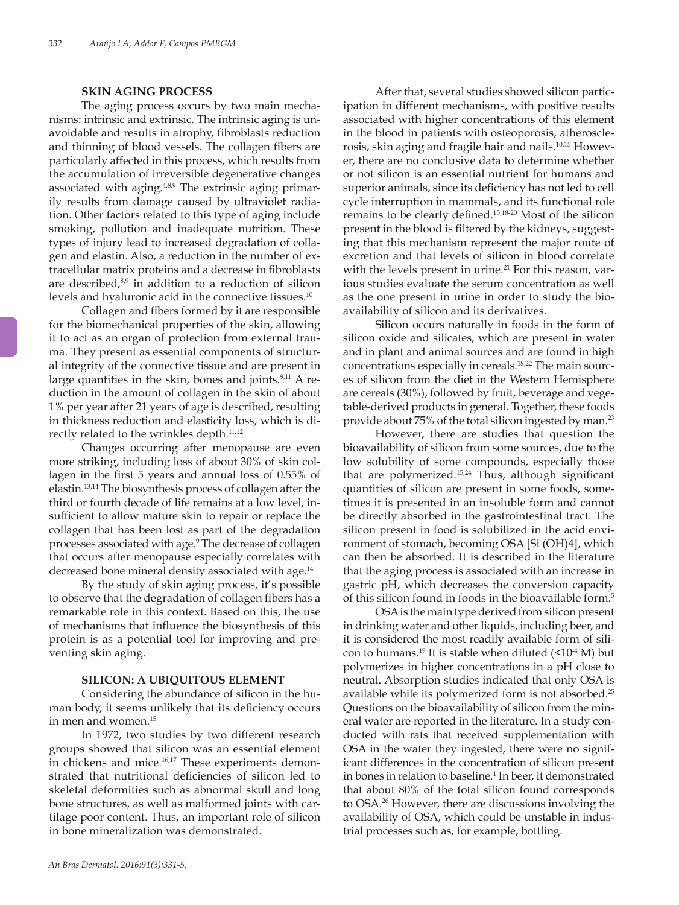#### **SKIN AGING PROCESS**

The aging process occurs by two main mechanisms: intrinsic and extrinsic. The intrinsic aging is unavoidable and results in atrophy, fibroblasts reduction and thinning of blood vessels. The collagen fibers are particularly affected in this process, which results from the accumulation of irreversible degenerative changes associated with aging.<sup>4,8,9</sup> The extrinsic aging primarily results from damage caused by ultraviolet radiation. Other factors related to this type of aging include smoking, pollution and inadequate nutrition. These types of injury lead to increased degradation of collagen and elastin. Also, a reduction in the number of extracellular matrix proteins and a decrease in fibroblasts are described,8,9 in addition to a reduction of silicon levels and hyaluronic acid in the connective tissues.<sup>10</sup>

Collagen and fibers formed by it are responsible for the biomechanical properties of the skin, allowing it to act as an organ of protection from external trauma. They present as essential components of structural integrity of the connective tissue and are present in large quantities in the skin, bones and joints. $9,11$  A reduction in the amount of collagen in the skin of about 1% per year after 21 years of age is described, resulting in thickness reduction and elasticity loss, which is directly related to the wrinkles depth.<sup>11,12</sup>

Changes occurring after menopause are even more striking, including loss of about 30% of skin collagen in the first 5 years and annual loss of 0.55% of elastin.13,14 The biosynthesis process of collagen after the third or fourth decade of life remains at a low level, insufficient to allow mature skin to repair or replace the collagen that has been lost as part of the degradation processes associated with age.9 The decrease of collagen that occurs after menopause especially correlates with decreased bone mineral density associated with age.<sup>14</sup>

By the study of skin aging process, it's possible to observe that the degradation of collagen fibers has a remarkable role in this context. Based on this, the use of mechanisms that influence the biosynthesis of this protein is as a potential tool for improving and preventing skin aging.

#### **SILICON: A UBIQUITOUS ELEMENT**

Considering the abundance of silicon in the human body, it seems unlikely that its deficiency occurs in men and women.15

In 1972, two studies by two different research groups showed that silicon was an essential element in chickens and mice.<sup>16,17</sup> These experiments demonstrated that nutritional deficiencies of silicon led to skeletal deformities such as abnormal skull and long bone structures, as well as malformed joints with cartilage poor content. Thus, an important role of silicon in bone mineralization was demonstrated.

After that, several studies showed silicon participation in different mechanisms, with positive results associated with higher concentrations of this element in the blood in patients with osteoporosis, atherosclerosis, skin aging and fragile hair and nails.10,15 However, there are no conclusive data to determine whether or not silicon is an essential nutrient for humans and superior animals, since its deficiency has not led to cell cycle interruption in mammals, and its functional role remains to be clearly defined.15,18-20 Most of the silicon present in the blood is filtered by the kidneys, suggesting that this mechanism represent the major route of excretion and that levels of silicon in blood correlate with the levels present in urine.<sup>21</sup> For this reason, various studies evaluate the serum concentration as well as the one present in urine in order to study the bioavailability of silicon and its derivatives.

Silicon occurs naturally in foods in the form of silicon oxide and silicates, which are present in water and in plant and animal sources and are found in high concentrations especially in cereals.18,22 The main sources of silicon from the diet in the Western Hemisphere are cereals (30%), followed by fruit, beverage and vegetable-derived products in general. Together, these foods provide about 75% of the total silicon ingested by man.23

However, there are studies that question the bioavailability of silicon from some sources, due to the low solubility of some compounds, especially those that are polymerized.15,24 Thus, although significant quantities of silicon are present in some foods, sometimes it is presented in an insoluble form and cannot be directly absorbed in the gastrointestinal tract. The silicon present in food is solubilized in the acid environment of stomach, becoming OSA [Si (OH)4], which can then be absorbed. It is described in the literature that the aging process is associated with an increase in gastric pH, which decreases the conversion capacity of this silicon found in foods in the bioavailable form.5

OSAis the main type derived from silicon present in drinking water and other liquids, including beer, and it is considered the most readily available form of silicon to humans.<sup>19</sup> It is stable when diluted  $($  < 10<sup>-4</sup> M) but polymerizes in higher concentrations in a pH close to neutral. Absorption studies indicated that only OSA is available while its polymerized form is not absorbed.<sup>25</sup> Questions on the bioavailability of silicon from the mineral water are reported in the literature. In a study conducted with rats that received supplementation with OSA in the water they ingested, there were no significant differences in the concentration of silicon present in bones in relation to baseline.<sup>1</sup> In beer, it demonstrated that about 80% of the total silicon found corresponds to OSA.<sup>26</sup> However, there are discussions involving the availability of OSA, which could be unstable in industrial processes such as, for example, bottling.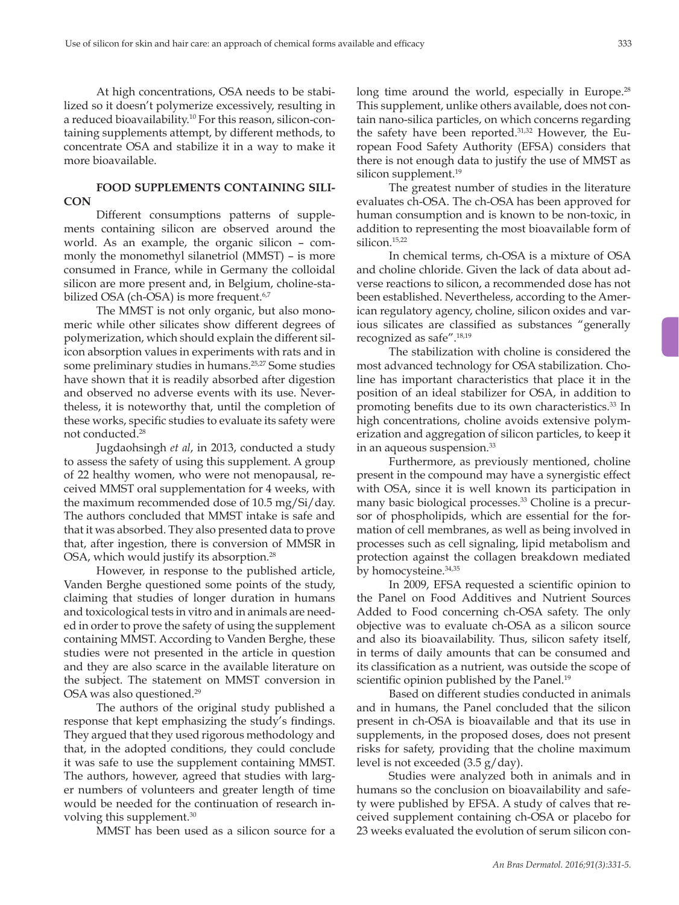At high concentrations, OSA needs to be stabilized so it doesn't polymerize excessively, resulting in a reduced bioavailability.10 For this reason, silicon-containing supplements attempt, by different methods, to concentrate OSA and stabilize it in a way to make it more bioavailable.

### **FOOD SUPPLEMENTS CONTAINING SILI-CON**

Different consumptions patterns of supplements containing silicon are observed around the world. As an example, the organic silicon – commonly the monomethyl silanetriol (MMST) – is more consumed in France, while in Germany the colloidal silicon are more present and, in Belgium, choline-stabilized OSA (ch-OSA) is more frequent.<sup>6,7</sup>

The MMST is not only organic, but also monomeric while other silicates show different degrees of polymerization, which should explain the different silicon absorption values in experiments with rats and in some preliminary studies in humans.<sup>25,27</sup> Some studies have shown that it is readily absorbed after digestion and observed no adverse events with its use. Nevertheless, it is noteworthy that, until the completion of these works, specific studies to evaluate its safety were not conducted.28

Jugdaohsingh *et al*, in 2013, conducted a study to assess the safety of using this supplement. A group of 22 healthy women, who were not menopausal, received MMST oral supplementation for 4 weeks, with the maximum recommended dose of 10.5 mg/Si/day. The authors concluded that MMST intake is safe and that it was absorbed. They also presented data to prove that, after ingestion, there is conversion of MMSR in OSA, which would justify its absorption.<sup>28</sup>

However, in response to the published article, Vanden Berghe questioned some points of the study, claiming that studies of longer duration in humans and toxicological tests in vitro and in animals are needed in order to prove the safety of using the supplement containing MMST. According to Vanden Berghe, these studies were not presented in the article in question and they are also scarce in the available literature on the subject. The statement on MMST conversion in OSA was also questioned.<sup>29</sup>

The authors of the original study published a response that kept emphasizing the study's findings. They argued that they used rigorous methodology and that, in the adopted conditions, they could conclude it was safe to use the supplement containing MMST. The authors, however, agreed that studies with larger numbers of volunteers and greater length of time would be needed for the continuation of research involving this supplement.<sup>30</sup>

MMST has been used as a silicon source for a

long time around the world, especially in Europe.<sup>28</sup> This supplement, unlike others available, does not contain nano-silica particles, on which concerns regarding the safety have been reported.<sup>31,32</sup> However, the European Food Safety Authority (EFSA) considers that there is not enough data to justify the use of MMST as silicon supplement.<sup>19</sup>

The greatest number of studies in the literature evaluates ch-OSA. The ch-OSA has been approved for human consumption and is known to be non-toxic, in addition to representing the most bioavailable form of silicon $15,22$ 

In chemical terms, ch-OSA is a mixture of OSA and choline chloride. Given the lack of data about adverse reactions to silicon, a recommended dose has not been established. Nevertheless, according to the American regulatory agency, choline, silicon oxides and various silicates are classified as substances "generally recognized as safe".18,19

The stabilization with choline is considered the most advanced technology for OSA stabilization. Choline has important characteristics that place it in the position of an ideal stabilizer for OSA, in addition to promoting benefits due to its own characteristics.33 In high concentrations, choline avoids extensive polymerization and aggregation of silicon particles, to keep it in an aqueous suspension.<sup>33</sup>

Furthermore, as previously mentioned, choline present in the compound may have a synergistic effect with OSA, since it is well known its participation in many basic biological processes.<sup>33</sup> Choline is a precursor of phospholipids, which are essential for the formation of cell membranes, as well as being involved in processes such as cell signaling, lipid metabolism and protection against the collagen breakdown mediated by homocysteine.<sup>34,35</sup>

In 2009, EFSA requested a scientific opinion to the Panel on Food Additives and Nutrient Sources Added to Food concerning ch-OSA safety. The only objective was to evaluate ch-OSA as a silicon source and also its bioavailability. Thus, silicon safety itself, in terms of daily amounts that can be consumed and its classification as a nutrient, was outside the scope of scientific opinion published by the Panel.<sup>19</sup>

Based on different studies conducted in animals and in humans, the Panel concluded that the silicon present in ch-OSA is bioavailable and that its use in supplements, in the proposed doses, does not present risks for safety, providing that the choline maximum level is not exceeded (3.5 g/day).

Studies were analyzed both in animals and in humans so the conclusion on bioavailability and safety were published by EFSA. A study of calves that received supplement containing ch-OSA or placebo for 23 weeks evaluated the evolution of serum silicon con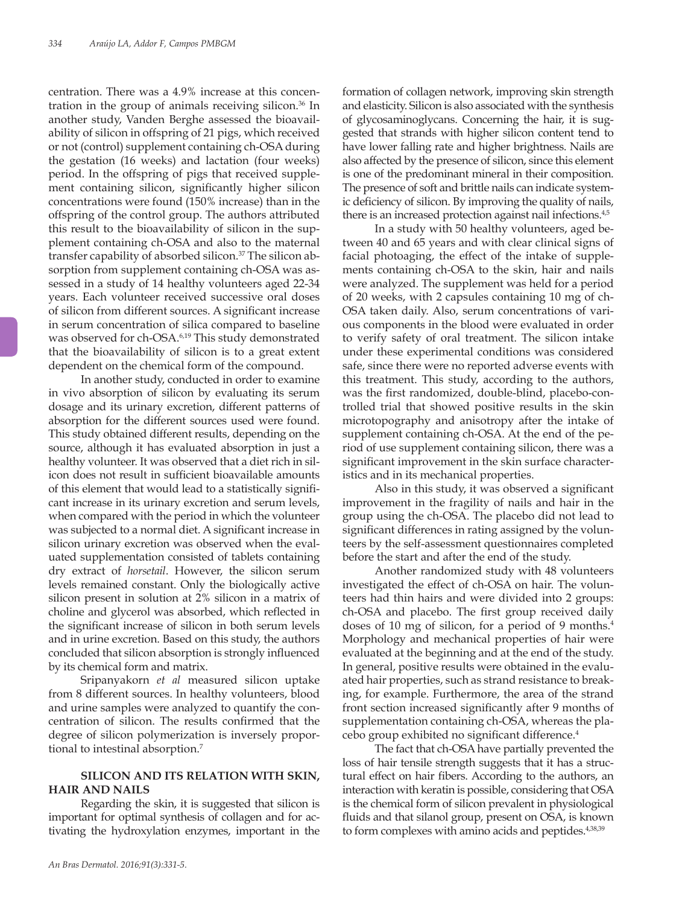centration. There was a 4.9% increase at this concentration in the group of animals receiving silicon.<sup>36</sup> In another study, Vanden Berghe assessed the bioavailability of silicon in offspring of 21 pigs, which received or not (control) supplement containing ch-OSAduring the gestation (16 weeks) and lactation (four weeks) period. In the offspring of pigs that received supplement containing silicon, significantly higher silicon concentrations were found (150% increase) than in the offspring of the control group. The authors attributed this result to the bioavailability of silicon in the supplement containing ch-OSA and also to the maternal transfer capability of absorbed silicon.37 The silicon absorption from supplement containing ch-OSA was assessed in a study of 14 healthy volunteers aged 22-34 years. Each volunteer received successive oral doses of silicon from different sources. A significant increase in serum concentration of silica compared to baseline was observed for ch-OSA.<sup>6,19</sup> This study demonstrated that the bioavailability of silicon is to a great extent dependent on the chemical form of the compound.

In another study, conducted in order to examine in vivo absorption of silicon by evaluating its serum dosage and its urinary excretion, different patterns of absorption for the different sources used were found. This study obtained different results, depending on the source, although it has evaluated absorption in just a healthy volunteer. It was observed that a diet rich in silicon does not result in sufficient bioavailable amounts of this element that would lead to a statistically significant increase in its urinary excretion and serum levels, when compared with the period in which the volunteer was subjected to a normal diet. A significant increase in silicon urinary excretion was observed when the evaluated supplementation consisted of tablets containing dry extract of *horsetail*. However, the silicon serum levels remained constant. Only the biologically active silicon present in solution at 2% silicon in a matrix of choline and glycerol was absorbed, which reflected in the significant increase of silicon in both serum levels and in urine excretion. Based on this study, the authors concluded that silicon absorption is strongly influenced by its chemical form and matrix.

Sripanyakorn *et al* measured silicon uptake from 8 different sources. In healthy volunteers, blood and urine samples were analyzed to quantify the concentration of silicon. The results confirmed that the degree of silicon polymerization is inversely proportional to intestinal absorption.7

## **SILICON AND ITS RELATION WITH SKIN, HAIR AND NAILS**

Regarding the skin, it is suggested that silicon is important for optimal synthesis of collagen and for activating the hydroxylation enzymes, important in the

formation of collagen network, improving skin strength and elasticity. Silicon is also associated with the synthesis of glycosaminoglycans. Concerning the hair, it is suggested that strands with higher silicon content tend to have lower falling rate and higher brightness. Nails are also affected by the presence of silicon, since this element is one of the predominant mineral in their composition. The presence of soft and brittle nails can indicate systemic deficiency of silicon. By improving the quality of nails, there is an increased protection against nail infections.<sup>4,5</sup>

In a study with 50 healthy volunteers, aged between 40 and 65 years and with clear clinical signs of facial photoaging, the effect of the intake of supplements containing ch-OSA to the skin, hair and nails were analyzed. The supplement was held for a period of 20 weeks, with 2 capsules containing 10 mg of ch-OSA taken daily. Also, serum concentrations of various components in the blood were evaluated in order to verify safety of oral treatment. The silicon intake under these experimental conditions was considered safe, since there were no reported adverse events with this treatment. This study, according to the authors, was the first randomized, double-blind, placebo-controlled trial that showed positive results in the skin microtopography and anisotropy after the intake of supplement containing ch-OSA. At the end of the period of use supplement containing silicon, there was a significant improvement in the skin surface characteristics and in its mechanical properties.

Also in this study, it was observed a significant improvement in the fragility of nails and hair in the group using the ch-OSA. The placebo did not lead to significant differences in rating assigned by the volunteers by the self-assessment questionnaires completed before the start and after the end of the study.

Another randomized study with 48 volunteers investigated the effect of ch-OSA on hair. The volunteers had thin hairs and were divided into 2 groups: ch-OSA and placebo. The first group received daily doses of 10 mg of silicon, for a period of 9 months.<sup>4</sup> Morphology and mechanical properties of hair were evaluated at the beginning and at the end of the study. In general, positive results were obtained in the evaluated hair properties, such as strand resistance to breaking, for example. Furthermore, the area of the strand front section increased significantly after 9 months of supplementation containing ch-OSA, whereas the placebo group exhibited no significant difference.<sup>4</sup>

The fact that ch-OSA have partially prevented the loss of hair tensile strength suggests that it has a structural effect on hair fibers. According to the authors, an interaction with keratin is possible, considering that OSA is the chemical form of silicon prevalent in physiological fluids and that silanol group, present on OSA, is known to form complexes with amino acids and peptides.<sup>4,38,39</sup>